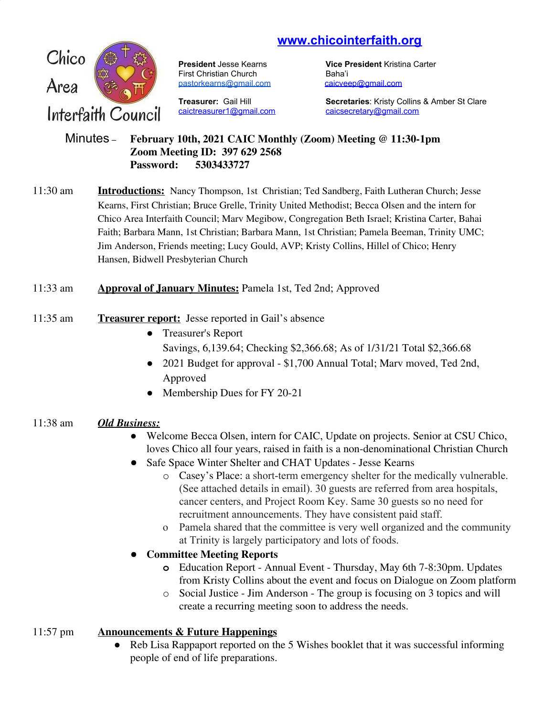# **www.chicointerfaith.org**



First Christian Church Baha'i [pastorkearns@gmail.com](mailto:pastorkearns@gmail.com) [caicveep@gmail.com](mailto:caicveep@gmail.com)

[caictreasurer1@gmail.com](mailto:caictreasurer1@gmail.com) [caicsecretary@gmail.com](mailto:caicsecretary@gmail.com)

**President** Jesse Kearns **Vice President** Kristina Carter

**Treasurer:** Gail Hill **Secretaries**: Kristy Collins & Amber St Clare

#### Minutes – **February 10th, 2021 CAIC Monthly (Zoom) Meeting @ 11:30-1pm Zoom Meeting ID: 397 629 2568 Password: 5303433727**

11:30 am **Introductions:** Nancy Thompson, 1st Christian; Ted Sandberg, Faith Lutheran Church; Jesse Kearns, First Christian; Bruce Grelle, Trinity United Methodist; Becca Olsen and the intern for Chico Area Interfaith Council; Marv Megibow, Congregation Beth Israel; Kristina Carter, Bahai Faith; Barbara Mann, 1st Christian; Barbara Mann, 1st Christian; Pamela Beeman, Trinity UMC; Jim Anderson, Friends meeting; Lucy Gould, AVP; Kristy Collins, Hillel of Chico; Henry Hansen, Bidwell Presbyterian Church

## 11:33 am **Approval of January Minutes:** Pamela 1st, Ted 2nd; Approved

- 11:35 am **Treasurer report:** Jesse reported in Gail's absence
	- Treasurer's Report Savings, 6,139.64; Checking \$2,366.68; As of 1/31/21 Total \$2,366.68
	- 2021 Budget for approval \$1,700 Annual Total; Marv moved, Ted 2nd, Approved
	- Membership Dues for FY 20-21

## 11:38 am *Old Business:*

- Welcome Becca Olsen, intern for CAIC, Update on projects. Senior at CSU Chico, loves Chico all four years, raised in faith is a non-denominational Christian Church
- Safe Space Winter Shelter and CHAT Updates Jesse Kearns
	- o Casey's Place: a short-term emergency shelter for the medically vulnerable. (See attached details in email). 30 guests are referred from area hospitals, cancer centers, and Project Room Key. Same 30 guests so no need for recruitment announcements. They have consistent paid staff.
	- o Pamela shared that the committee is very well organized and the community at Trinity is largely participatory and lots of foods.
- **Committee Meeting Reports**
	- **o** Education Report Annual Event Thursday, May 6th 7-8:30pm. Updates from Kristy Collins about the event and focus on Dialogue on Zoom platform
	- o Social Justice Jim Anderson The group is focusing on 3 topics and will create a recurring meeting soon to address the needs.

# 11:57 pm **Announcements & Future Happenings**

• Reb Lisa Rappaport reported on the 5 Wishes booklet that it was successful informing people of end of life preparations.